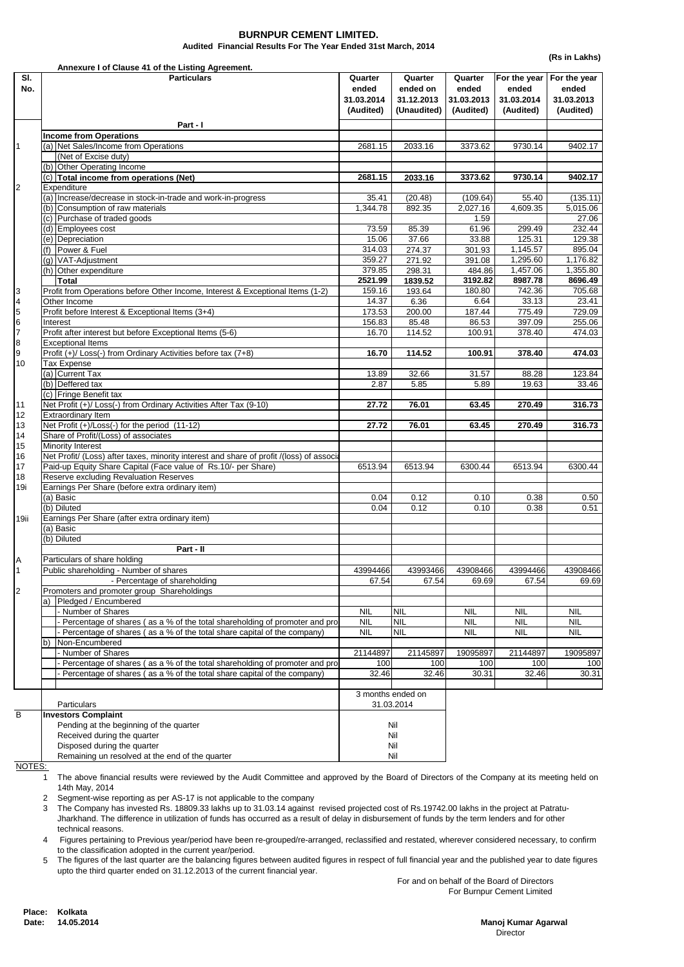**(Rs in Lakhs)**

**Director Director Director Manoj Kumar Agarwal**

Place: Kolkata **14.05.2014 Date:** 

|                     |                             | Annexure I of Clause 41 of the Listing Agreement.                                                                                                     |                                |                                   |                                |                                     |                                     |
|---------------------|-----------------------------|-------------------------------------------------------------------------------------------------------------------------------------------------------|--------------------------------|-----------------------------------|--------------------------------|-------------------------------------|-------------------------------------|
| SI.<br>No.          |                             | <b>Particulars</b>                                                                                                                                    | Quarter<br>ended<br>31.03.2014 | Quarter<br>ended on<br>31.12.2013 | Quarter<br>ended<br>31.03.2013 | For the year<br>ended<br>31.03.2014 | For the year<br>ended<br>31.03.2013 |
|                     |                             |                                                                                                                                                       | (Audited)                      | (Unaudited)                       | (Audited)                      | (Audited)                           | (Audited)                           |
|                     |                             | Part - I                                                                                                                                              |                                |                                   |                                |                                     |                                     |
|                     |                             | <b>Income from Operations</b>                                                                                                                         |                                |                                   |                                |                                     |                                     |
| $\mathbf{1}$        |                             | (a) Net Sales/Income from Operations<br>(Net of Excise duty)                                                                                          | 2681.15                        | 2033.16                           | 3373.62                        | 9730.14                             | 9402.17                             |
|                     |                             | (b) Other Operating Income                                                                                                                            |                                |                                   |                                |                                     |                                     |
|                     |                             | (c) Total income from operations (Net)                                                                                                                | 2681.15                        | 2033.16                           | 3373.62                        | 9730.14                             | 9402.17                             |
| $\overline{2}$      |                             | Expenditure                                                                                                                                           |                                |                                   |                                |                                     |                                     |
|                     |                             | (a) Increase/decrease in stock-in-trade and work-in-progress                                                                                          | 35.41                          | (20.48)                           | (109.64)                       | 55.40                               | (135.11)                            |
|                     |                             | (b) Consumption of raw materials<br>(c) Purchase of traded goods                                                                                      | 1,344.78                       | 892.35                            | 2,027.16<br>1.59               | 4,609.35                            | 5,015.06<br>27.06                   |
|                     |                             | (d) Employees cost                                                                                                                                    | 73.59                          | 85.39                             | 61.96                          | 299.49                              | 232.44                              |
|                     |                             | (e) Depreciation                                                                                                                                      | 15.06                          | 37.66                             | 33.88                          | 125.31                              | 129.38                              |
|                     | (f)                         | Power & Fuel                                                                                                                                          | 314.03                         | 274.37                            | 301.93                         | 1,145.57                            | 895.04                              |
|                     |                             | (g) VAT-Adjustment                                                                                                                                    | 359.27                         | 271.92                            | 391.08                         | 1,295.60                            | 1,176.82                            |
|                     |                             | (h) Other expenditure<br><b>Total</b>                                                                                                                 | 379.85<br>2521.99              | 298.31<br>1839.52                 | 484.86<br>3192.82              | 1,457.06<br>8987.78                 | 1,355.80<br>8696.49                 |
| 3                   |                             | Profit from Operations before Other Income, Interest & Exceptional Items (1-2)                                                                        | 159.16                         | 193.64                            | 180.80                         | 742.36                              | 705.68                              |
| 4                   |                             | Other Income                                                                                                                                          | 14.37                          | 6.36                              | 6.64                           | 33.13                               | 23.41                               |
| 5                   |                             | Profit before Interest & Exceptional Items (3+4)                                                                                                      | 173.53                         | 200.00                            | 187.44                         | 775.49                              | 729.09                              |
| 6                   |                             | Interest                                                                                                                                              | 156.83                         | 85.48                             | 86.53                          | 397.09                              | 255.06                              |
| $\overline{7}$<br>8 |                             | Profit after interest but before Exceptional Items (5-6)<br><b>Exceptional Items</b>                                                                  | 16.70                          | 114.52                            | 100.91                         | 378.40                              | 474.03                              |
| 9                   |                             | Profit (+)/ Loss(-) from Ordinary Activities before tax (7+8)                                                                                         | 16.70                          | 114.52                            | 100.91                         | 378.40                              | 474.03                              |
| 10                  |                             | <b>Tax Expense</b>                                                                                                                                    |                                |                                   |                                |                                     |                                     |
|                     |                             | (a) Current Tax                                                                                                                                       | 13.89                          | 32.66                             | 31.57                          | 88.28                               | 123.84                              |
|                     |                             | (b) Deffered tax                                                                                                                                      | 2.87                           | 5.85                              | 5.89                           | 19.63                               | 33.46                               |
|                     |                             | (c) Fringe Benefit tax                                                                                                                                |                                |                                   |                                |                                     |                                     |
| 11<br>12            |                             | Net Profit (+)/ Loss(-) from Ordinary Activities After Tax (9-10)<br><b>Extraordinary Item</b>                                                        | 27.72                          | 76.01                             | 63.45                          | 270.49                              | 316.73                              |
| 13                  |                             | Net Profit (+)/Loss(-) for the period (11-12)                                                                                                         | 27.72                          | 76.01                             | 63.45                          | 270.49                              | 316.73                              |
| 14                  |                             | Share of Profit/(Loss) of associates                                                                                                                  |                                |                                   |                                |                                     |                                     |
| 15                  |                             | <b>Minority Interest</b>                                                                                                                              |                                |                                   |                                |                                     |                                     |
| 16                  |                             | Net Profit/ (Loss) after taxes, minority interest and share of profit / (loss) of associal                                                            |                                |                                   |                                |                                     |                                     |
| 17<br>18            |                             | Paid-up Equity Share Capital (Face value of Rs.10/- per Share)<br>Reserve excluding Revaluation Reserves                                              | 6513.94                        | 6513.94                           | 6300.44                        | 6513.94                             | 6300.44                             |
| 19i                 |                             | Earnings Per Share (before extra ordinary item)                                                                                                       |                                |                                   |                                |                                     |                                     |
|                     |                             | (a) Basic                                                                                                                                             | 0.04                           | 0.12                              | 0.10                           | 0.38                                | 0.50                                |
|                     |                             | (b) Diluted                                                                                                                                           | 0.04                           | 0.12                              | 0.10                           | 0.38                                | 0.51                                |
| 19ii                |                             | Earnings Per Share (after extra ordinary item)                                                                                                        |                                |                                   |                                |                                     |                                     |
|                     |                             | (a) Basic<br>(b) Diluted                                                                                                                              |                                |                                   |                                |                                     |                                     |
|                     |                             | Part - II                                                                                                                                             |                                |                                   |                                |                                     |                                     |
| Α                   |                             | Particulars of share holding                                                                                                                          |                                |                                   |                                |                                     |                                     |
| 1                   |                             | Public shareholding - Number of shares                                                                                                                | 43994466                       | 43993466                          | 43908466                       | 43994466                            | 43908466                            |
|                     |                             | - Percentage of shareholding                                                                                                                          | 67.54                          | 67.54                             | 69.69                          | 67.54                               | 69.69                               |
| $\overline{c}$      |                             | Promoters and promoter group Shareholdings<br>a) Pledged / Encumbered                                                                                 |                                |                                   |                                |                                     |                                     |
|                     |                             | - Number of Shares                                                                                                                                    | <b>NIL</b>                     | <b>NIL</b>                        | <b>NIL</b>                     | <b>NIL</b>                          | <b>NIL</b>                          |
|                     |                             | - Percentage of shares (as a % of the total shareholding of promoter and pro                                                                          | <b>NIL</b>                     | <b>NIL</b>                        | <b>NIL</b>                     | <b>NIL</b>                          | <b>NIL</b>                          |
|                     |                             | - Percentage of shares (as a % of the total share capital of the company)                                                                             | <b>NIL</b>                     | <b>NIL</b>                        | <b>NIL</b>                     | <b>NIL</b>                          | <b>NIL</b>                          |
|                     | b)                          | Non-Encumbered                                                                                                                                        |                                |                                   |                                |                                     |                                     |
|                     |                             | Number of Shares                                                                                                                                      | 21144897                       | 21145897                          | 19095897                       | 21144897                            | 19095897                            |
|                     |                             | Percentage of shares (as a % of the total shareholding of promoter and pro<br>Percentage of shares (as a % of the total share capital of the company) | 100<br>32.46                   | 100<br>32.46                      | 100<br>30.31                   | 100<br>32.46                        | 100<br>30.31                        |
|                     |                             |                                                                                                                                                       |                                |                                   |                                |                                     |                                     |
|                     |                             |                                                                                                                                                       | 3 months ended on              |                                   |                                |                                     |                                     |
|                     |                             | Particulars<br>31.03.2014                                                                                                                             |                                |                                   |                                |                                     |                                     |
| B                   |                             | <b>Investors Complaint</b>                                                                                                                            |                                |                                   |                                |                                     |                                     |
|                     |                             | Pending at the beginning of the quarter<br>Nil<br>Received during the quarter<br>Nil                                                                  |                                |                                   |                                |                                     |                                     |
|                     | Disposed during the quarter |                                                                                                                                                       |                                | Nil                               |                                |                                     |                                     |
|                     |                             | Remaining un resolved at the end of the quarter                                                                                                       |                                | Nil                               |                                |                                     |                                     |
|                     | NOTES:                      |                                                                                                                                                       |                                |                                   |                                |                                     |                                     |

 For and on behalf of the Board of Directors For Burnpur Cement Limited

- 1 The above financial results were reviewed by the Audit Committee and approved by the Board of Directors of the Company at its meeting held on 14th May, 2014
- 2 Segment-wise reporting as per AS-17 is not applicable to the company
- 3 The Company has invested Rs. 18809.33 lakhs up to 31.03.14 against revised projected cost of Rs.19742.00 lakhs in the project at Patratu-Jharkhand. The difference in utilization of funds has occurred as a result of delay in disbursement of funds by the term lenders and for other technical reasons.
- 4 Figures pertaining to Previous year/period have been re-grouped/re-arranged, reclassified and restated, wherever considered necessary, to confirm to the classification adopted in the current year/period.
- 5 The figures of the last quarter are the balancing figures between audited figures in respect of full financial year and the published year to date figures upto the third quarter ended on 31.12.2013 of the current financial year.

## **BURNPUR CEMENT LIMITED.**

**Audited Financial Results For The Year Ended 31st March, 2014**